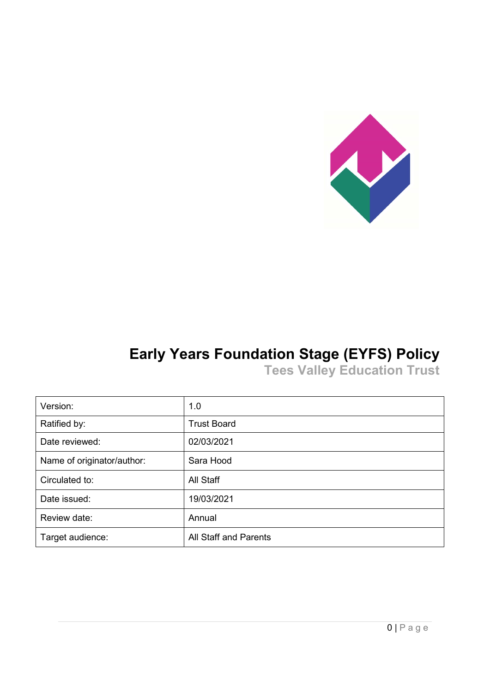

# **Early Years Foundation Stage (EYFS) Policy**

**Tees Valley Education Trust**

| Version:                   | 1.0                          |
|----------------------------|------------------------------|
| Ratified by:               | <b>Trust Board</b>           |
| Date reviewed:             | 02/03/2021                   |
| Name of originator/author: | Sara Hood                    |
| Circulated to:             | All Staff                    |
| Date issued:               | 19/03/2021                   |
| Review date:               | Annual                       |
| Target audience:           | <b>All Staff and Parents</b> |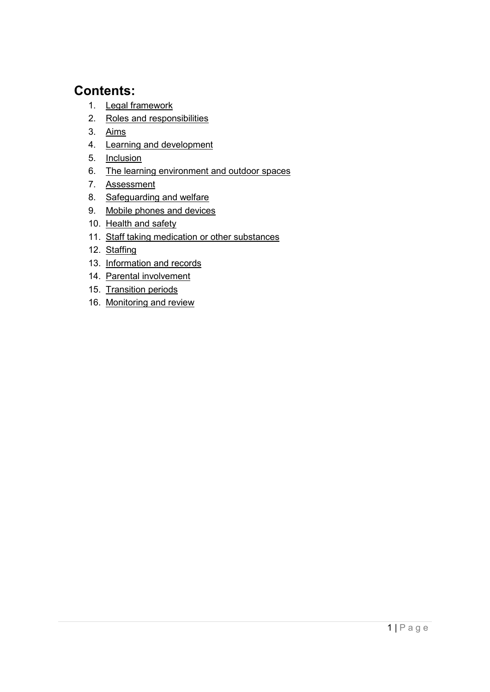## **Contents:**

- 1. [Legal framework](#page-2-0)
- 2. [Roles and responsibilities](#page-2-1)
- 3. [Aims](#page-3-0)
- 4. [Learning and development](#page-4-0)
- 5. [Inclusion](#page-6-0)
- 6. [The learning environment and outdoor spaces](#page-6-1)
- 7. [Assessment](#page-6-2)
- 8. [Safeguarding and welfare](#page-7-0)
- 9. [Mobile phones and devices](#page-7-1)
- 10. Health and safety
- 11. [Staff taking medication or other substances](#page-9-1)
- 12. [Staffing](#page-10-0)
- 13. [Information and records](#page-12-0)
- 14. [Parental involvement](#page-13-0)
- 15. [Transition periods](#page-13-1)
- 16. [Monitoring and review](#page-14-0)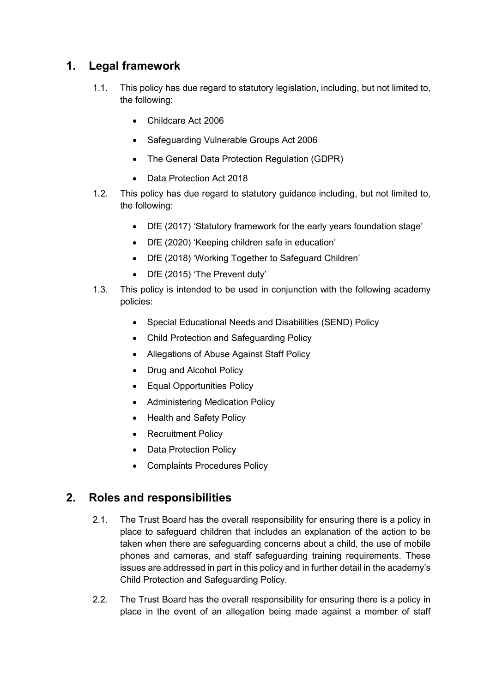## <span id="page-2-0"></span>**1. Legal framework**

- 1.1. This policy has due regard to statutory legislation, including, but not limited to, the following:
	- Childcare Act 2006
	- Safeguarding Vulnerable Groups Act 2006
	- The General Data Protection Regulation (GDPR)
	- Data Protection Act 2018
- 1.2. This policy has due regard to statutory guidance including, but not limited to, the following:
	- DfE (2017) 'Statutory framework for the early years foundation stage'
	- DfE (2020) 'Keeping children safe in education'
	- DfE (2018) 'Working Together to Safeguard Children'
	- DfE (2015) 'The Prevent duty'
- 1.3. This policy is intended to be used in conjunction with the following academy policies:
	- Special Educational Needs and Disabilities (SEND) Policy
	- Child Protection and Safeguarding Policy
	- Allegations of Abuse Against Staff Policy
	- Drug and Alcohol Policy
	- Equal Opportunities Policy
	- Administering Medication Policy
	- Health and Safety Policy
	- Recruitment Policy
	- Data Protection Policy
	- Complaints Procedures Policy

## <span id="page-2-1"></span>**2. Roles and responsibilities**

- 2.1. The Trust Board has the overall responsibility for ensuring there is a policy in place to safeguard children that includes an explanation of the action to be taken when there are safeguarding concerns about a child, the use of mobile phones and cameras, and staff safeguarding training requirements. These issues are addressed in part in this policy and in further detail in the academy's Child Protection and Safeguarding Policy.
- 2.2. The Trust Board has the overall responsibility for ensuring there is a policy in place in the event of an allegation being made against a member of staff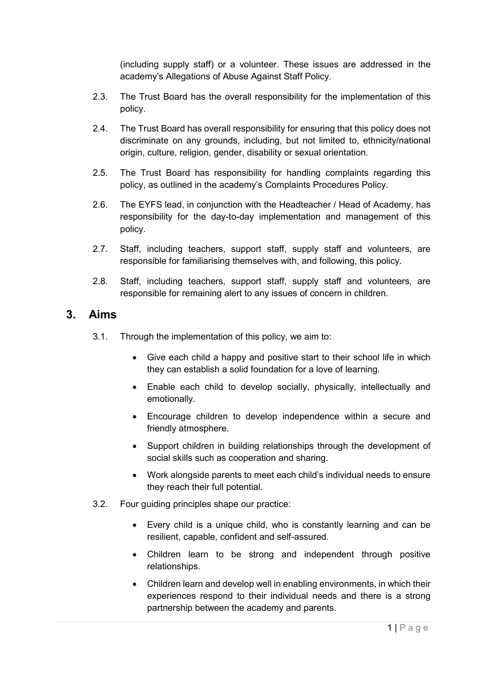(including supply staff) or a volunteer. These issues are addressed in the academy's Allegations of Abuse Against Staff Policy.

- 2.3. The Trust Board has the overall responsibility for the implementation of this policy.
- 2.4. The Trust Board has overall responsibility for ensuring that this policy does not discriminate on any grounds, including, but not limited to, ethnicity/national origin, culture, religion, gender, disability or sexual orientation.
- 2.5. The Trust Board has responsibility for handling complaints regarding this policy, as outlined in the academy's Complaints Procedures Policy.
- 2.6. The EYFS lead, in conjunction with the Headteacher / Head of Academy, has responsibility for the day-to-day implementation and management of this policy.
- 2.7. Staff, including teachers, support staff, supply staff and volunteers, are responsible for familiarising themselves with, and following, this policy.
- 2.8. Staff, including teachers, support staff, supply staff and volunteers, are responsible for remaining alert to any issues of concern in children.

#### <span id="page-3-0"></span>**3. Aims**

- 3.1. Through the implementation of this policy, we aim to:
	- Give each child a happy and positive start to their school life in which they can establish a solid foundation for a love of learning.
	- Enable each child to develop socially, physically, intellectually and emotionally.
	- Encourage children to develop independence within a secure and friendly atmosphere.
	- Support children in building relationships through the development of social skills such as cooperation and sharing.
	- Work alongside parents to meet each child's individual needs to ensure they reach their full potential.
- 3.2. Four guiding principles shape our practice:
	- Every child is a unique child, who is constantly learning and can be resilient, capable, confident and self-assured.
	- Children learn to be strong and independent through positive relationships.
	- Children learn and develop well in enabling environments, in which their experiences respond to their individual needs and there is a strong partnership between the academy and parents.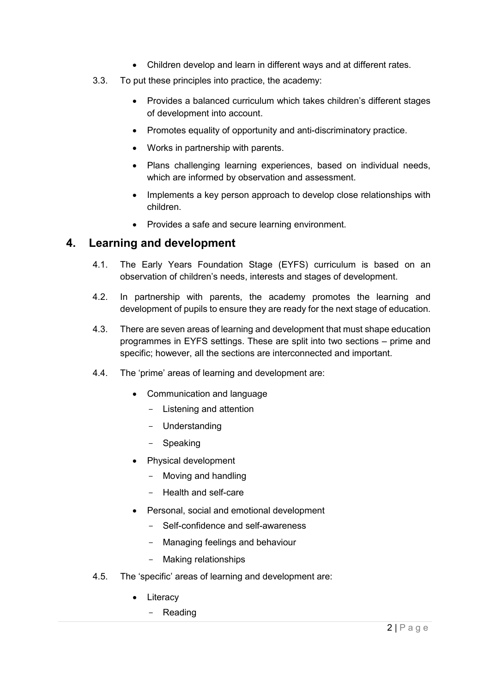- Children develop and learn in different ways and at different rates.
- 3.3. To put these principles into practice, the academy:
	- Provides a balanced curriculum which takes children's different stages of development into account.
	- Promotes equality of opportunity and anti-discriminatory practice.
	- Works in partnership with parents.
	- Plans challenging learning experiences, based on individual needs, which are informed by observation and assessment.
	- Implements a key person approach to develop close relationships with children.
	- Provides a safe and secure learning environment.

#### <span id="page-4-0"></span>**4. Learning and development**

- 4.1. The Early Years Foundation Stage (EYFS) curriculum is based on an observation of children's needs, interests and stages of development.
- 4.2. In partnership with parents, the academy promotes the learning and development of pupils to ensure they are ready for the next stage of education.
- 4.3. There are seven areas of learning and development that must shape education programmes in EYFS settings. These are split into two sections – prime and specific; however, all the sections are interconnected and important.
- 4.4. The 'prime' areas of learning and development are:
	- Communication and language
		- Listening and attention
		- Understanding
		- Speaking
	- Physical development
		- Moving and handling
		- Health and self-care
	- Personal, social and emotional development
		- Self-confidence and self-awareness
		- Managing feelings and behaviour
		- Making relationships
- 4.5. The 'specific' areas of learning and development are:
	- Literacy
		- Reading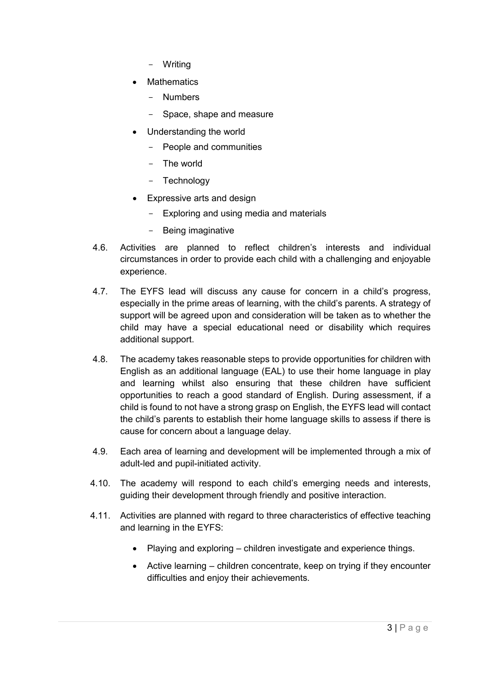- Writing
- **Mathematics** 
	- Numbers
	- Space, shape and measure
- Understanding the world
	- People and communities
	- The world
	- Technology
- Expressive arts and design
	- Exploring and using media and materials
	- Being imaginative
- 4.6. Activities are planned to reflect children's interests and individual circumstances in order to provide each child with a challenging and enjoyable experience.
- 4.7. The EYFS lead will discuss any cause for concern in a child's progress, especially in the prime areas of learning, with the child's parents. A strategy of support will be agreed upon and consideration will be taken as to whether the child may have a special educational need or disability which requires additional support.
- 4.8. The academy takes reasonable steps to provide opportunities for children with English as an additional language (EAL) to use their home language in play and learning whilst also ensuring that these children have sufficient opportunities to reach a good standard of English. During assessment, if a child is found to not have a strong grasp on English, the EYFS lead will contact the child's parents to establish their home language skills to assess if there is cause for concern about a language delay.
- 4.9. Each area of learning and development will be implemented through a mix of adult-led and pupil-initiated activity.
- 4.10. The academy will respond to each child's emerging needs and interests, guiding their development through friendly and positive interaction.
- 4.11. Activities are planned with regard to three characteristics of effective teaching and learning in the EYFS:
	- Playing and exploring children investigate and experience things.
	- Active learning children concentrate, keep on trying if they encounter difficulties and enjoy their achievements.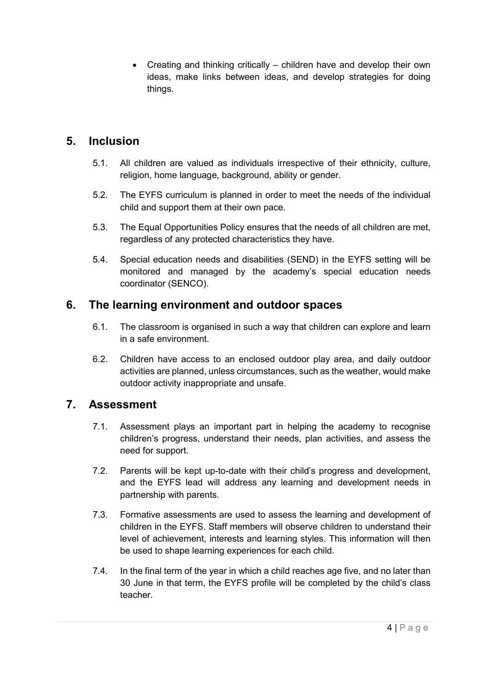• Creating and thinking critically – children have and develop their own ideas, make links between ideas, and develop strategies for doing things.

## <span id="page-6-0"></span>**5. Inclusion**

- 5.1. All children are valued as individuals irrespective of their ethnicity, culture, religion, home language, background, ability or gender.
- 5.2. The EYFS curriculum is planned in order to meet the needs of the individual child and support them at their own pace.
- 5.3. The Equal Opportunities Policy ensures that the needs of all children are met, regardless of any protected characteristics they have.
- 5.4. Special education needs and disabilities (SEND) in the EYFS setting will be monitored and managed by the academy's special education needs coordinator (SENCO).

## <span id="page-6-1"></span>**6. The learning environment and outdoor spaces**

- 6.1. The classroom is organised in such a way that children can explore and learn in a safe environment.
- 6.2. Children have access to an enclosed outdoor play area, and daily outdoor activities are planned, unless circumstances, such as the weather, would make outdoor activity inappropriate and unsafe.

## <span id="page-6-2"></span>**7. Assessment**

- 7.1. Assessment plays an important part in helping the academy to recognise children's progress, understand their needs, plan activities, and assess the need for support.
- 7.2. Parents will be kept up-to-date with their child's progress and development, and the EYFS lead will address any learning and development needs in partnership with parents.
- 7.3. Formative assessments are used to assess the learning and development of children in the EYFS. Staff members will observe children to understand their level of achievement, interests and learning styles. This information will then be used to shape learning experiences for each child.
- 7.4. In the final term of the year in which a child reaches age five, and no later than 30 June in that term, the EYFS profile will be completed by the child's class teacher.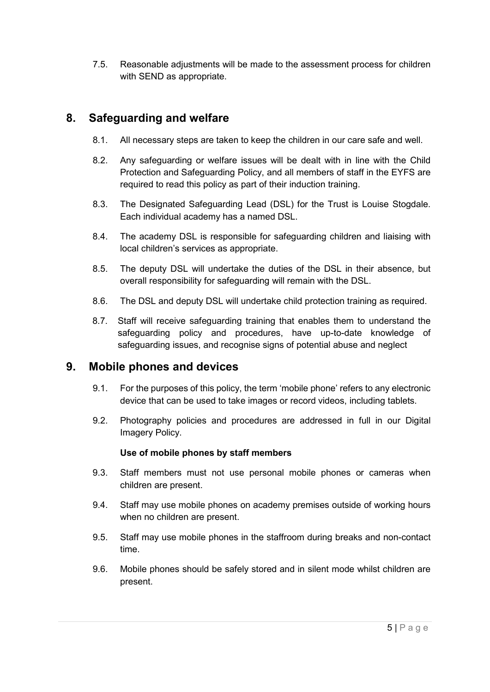7.5. Reasonable adjustments will be made to the assessment process for children with SEND as appropriate.

## <span id="page-7-0"></span>**8. Safeguarding and welfare**

- 8.1. All necessary steps are taken to keep the children in our care safe and well.
- 8.2. Any safeguarding or welfare issues will be dealt with in line with the Child Protection and Safeguarding Policy, and all members of staff in the EYFS are required to read this policy as part of their induction training.
- 8.3. The Designated Safeguarding Lead (DSL) for the Trust is Louise Stogdale. Each individual academy has a named DSL.
- 8.4. The academy DSL is responsible for safeguarding children and liaising with local children's services as appropriate.
- 8.5. The deputy DSL will undertake the duties of the DSL in their absence, but overall responsibility for safeguarding will remain with the DSL.
- 8.6. The DSL and deputy DSL will undertake child protection training as required.
- 8.7. Staff will receive safeguarding training that enables them to understand the safeguarding policy and procedures, have up-to-date knowledge of safeguarding issues, and recognise signs of potential abuse and neglect

## <span id="page-7-1"></span>**9. Mobile phones and devices**

- 9.1. For the purposes of this policy, the term 'mobile phone' refers to any electronic device that can be used to take images or record videos, including tablets.
- 9.2. Photography policies and procedures are addressed in full in our Digital Imagery Policy.

#### **Use of mobile phones by staff members**

- 9.3. Staff members must not use personal mobile phones or cameras when children are present.
- 9.4. Staff may use mobile phones on academy premises outside of working hours when no children are present.
- 9.5. Staff may use mobile phones in the staffroom during breaks and non-contact time.
- 9.6. Mobile phones should be safely stored and in silent mode whilst children are present.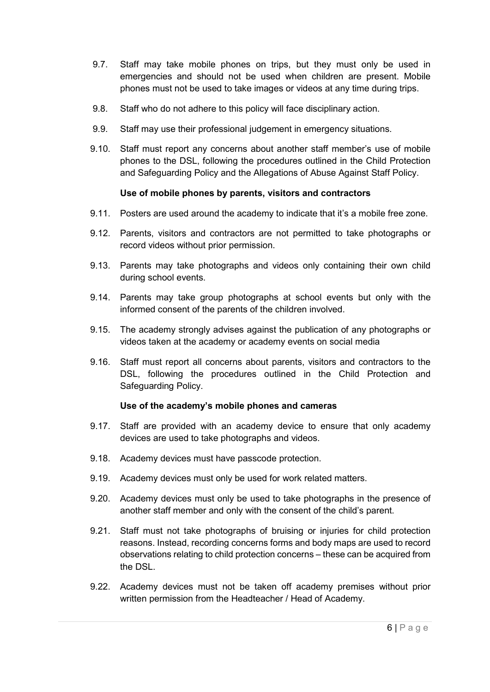- 9.7. Staff may take mobile phones on trips, but they must only be used in emergencies and should not be used when children are present. Mobile phones must not be used to take images or videos at any time during trips.
- 9.8. Staff who do not adhere to this policy will face disciplinary action.
- 9.9. Staff may use their professional judgement in emergency situations.
- 9.10. Staff must report any concerns about another staff member's use of mobile phones to the DSL, following the procedures outlined in the Child Protection and Safeguarding Policy and the Allegations of Abuse Against Staff Policy.

#### **Use of mobile phones by parents, visitors and contractors**

- 9.11. Posters are used around the academy to indicate that it's a mobile free zone.
- 9.12. Parents, visitors and contractors are not permitted to take photographs or record videos without prior permission.
- 9.13. Parents may take photographs and videos only containing their own child during school events.
- 9.14. Parents may take group photographs at school events but only with the informed consent of the parents of the children involved.
- 9.15. The academy strongly advises against the publication of any photographs or videos taken at the academy or academy events on social media
- 9.16. Staff must report all concerns about parents, visitors and contractors to the DSL, following the procedures outlined in the Child Protection and Safeguarding Policy.

#### **Use of the academy's mobile phones and cameras**

- 9.17. Staff are provided with an academy device to ensure that only academy devices are used to take photographs and videos.
- 9.18. Academy devices must have passcode protection.
- 9.19. Academy devices must only be used for work related matters.
- 9.20. Academy devices must only be used to take photographs in the presence of another staff member and only with the consent of the child's parent.
- 9.21. Staff must not take photographs of bruising or injuries for child protection reasons. Instead, recording concerns forms and body maps are used to record observations relating to child protection concerns – these can be acquired from the DSL.
- 9.22. Academy devices must not be taken off academy premises without prior written permission from the Headteacher / Head of Academy.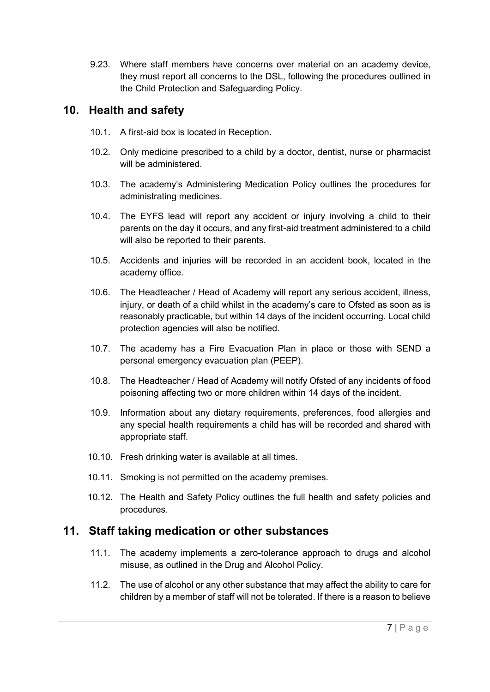9.23. Where staff members have concerns over material on an academy device, they must report all concerns to the DSL, following the procedures outlined in the Child Protection and Safeguarding Policy.

## <span id="page-9-0"></span>**10. Health and safety**

- 10.1. A first-aid box is located in Reception.
- 10.2. Only medicine prescribed to a child by a doctor, dentist, nurse or pharmacist will be administered.
- 10.3. The academy's Administering Medication Policy outlines the procedures for administrating medicines.
- 10.4. The EYFS lead will report any accident or injury involving a child to their parents on the day it occurs, and any first-aid treatment administered to a child will also be reported to their parents.
- 10.5. Accidents and injuries will be recorded in an accident book, located in the academy office.
- 10.6. The Headteacher / Head of Academy will report any serious accident, illness, injury, or death of a child whilst in the academy's care to Ofsted as soon as is reasonably practicable, but within 14 days of the incident occurring. Local child protection agencies will also be notified.
- 10.7. The academy has a Fire Evacuation Plan in place or those with SEND a personal emergency evacuation plan (PEEP).
- 10.8. The Headteacher / Head of Academy will notify Ofsted of any incidents of food poisoning affecting two or more children within 14 days of the incident.
- 10.9. Information about any dietary requirements, preferences, food allergies and any special health requirements a child has will be recorded and shared with appropriate staff.
- 10.10. Fresh drinking water is available at all times.
- 10.11. Smoking is not permitted on the academy premises.
- 10.12. The Health and Safety Policy outlines the full health and safety policies and procedures.

## <span id="page-9-1"></span>**11. Staff taking medication or other substances**

- 11.1. The academy implements a zero-tolerance approach to drugs and alcohol misuse, as outlined in the Drug and Alcohol Policy.
- 11.2. The use of alcohol or any other substance that may affect the ability to care for children by a member of staff will not be tolerated. If there is a reason to believe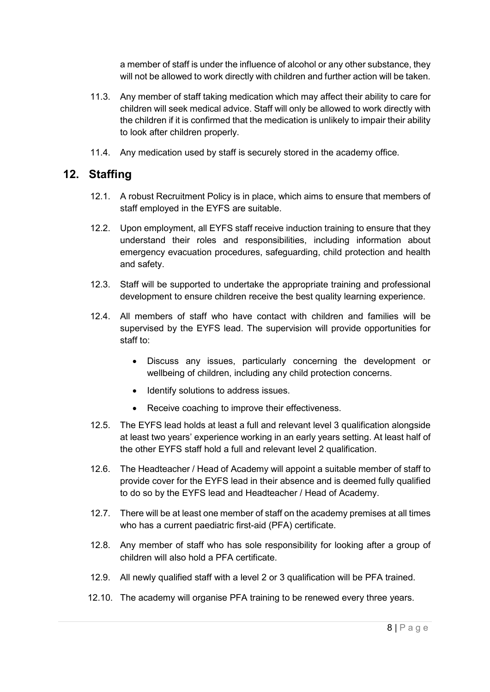a member of staff is under the influence of alcohol or any other substance, they will not be allowed to work directly with children and further action will be taken.

- 11.3. Any member of staff taking medication which may affect their ability to care for children will seek medical advice. Staff will only be allowed to work directly with the children if it is confirmed that the medication is unlikely to impair their ability to look after children properly.
- 11.4. Any medication used by staff is securely stored in the academy office.

## <span id="page-10-0"></span>**12. Staffing**

- 12.1. A robust Recruitment Policy is in place, which aims to ensure that members of staff employed in the EYFS are suitable.
- 12.2. Upon employment, all EYFS staff receive induction training to ensure that they understand their roles and responsibilities, including information about emergency evacuation procedures, safeguarding, child protection and health and safety.
- 12.3. Staff will be supported to undertake the appropriate training and professional development to ensure children receive the best quality learning experience.
- 12.4. All members of staff who have contact with children and families will be supervised by the EYFS lead. The supervision will provide opportunities for staff to:
	- Discuss any issues, particularly concerning the development or wellbeing of children, including any child protection concerns.
	- Identify solutions to address issues.
	- Receive coaching to improve their effectiveness.
- 12.5. The EYFS lead holds at least a full and relevant level 3 qualification alongside at least two years' experience working in an early years setting. At least half of the other EYFS staff hold a full and relevant level 2 qualification.
- 12.6. The Headteacher / Head of Academy will appoint a suitable member of staff to provide cover for the EYFS lead in their absence and is deemed fully qualified to do so by the EYFS lead and Headteacher / Head of Academy.
- 12.7. There will be at least one member of staff on the academy premises at all times who has a current paediatric first-aid (PFA) certificate.
- 12.8. Any member of staff who has sole responsibility for looking after a group of children will also hold a PFA certificate.
- 12.9. All newly qualified staff with a level 2 or 3 qualification will be PFA trained.
- 12.10. The academy will organise PFA training to be renewed every three years.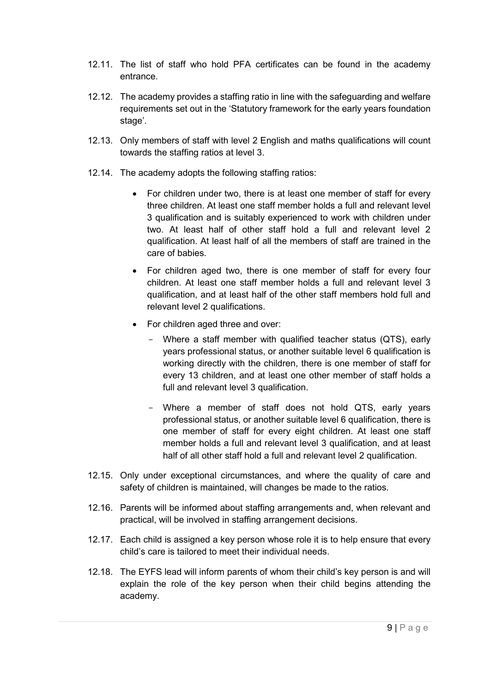- 12.11. The list of staff who hold PFA certificates can be found in the academy entrance.
- 12.12. The academy provides a staffing ratio in line with the safeguarding and welfare requirements set out in the 'Statutory framework for the early years foundation stage'.
- 12.13. Only members of staff with level 2 English and maths qualifications will count towards the staffing ratios at level 3.
- 12.14. The academy adopts the following staffing ratios:
	- For children under two, there is at least one member of staff for every three children. At least one staff member holds a full and relevant level 3 qualification and is suitably experienced to work with children under two. At least half of other staff hold a full and relevant level 2 qualification. At least half of all the members of staff are trained in the care of babies.
	- For children aged two, there is one member of staff for every four children. At least one staff member holds a full and relevant level 3 qualification, and at least half of the other staff members hold full and relevant level 2 qualifications.
	- For children aged three and over:
		- Where a staff member with qualified teacher status (QTS), early years professional status, or another suitable level 6 qualification is working directly with the children, there is one member of staff for every 13 children, and at least one other member of staff holds a full and relevant level 3 qualification.
		- Where a member of staff does not hold QTS, early years professional status, or another suitable level 6 qualification, there is one member of staff for every eight children. At least one staff member holds a full and relevant level 3 qualification, and at least half of all other staff hold a full and relevant level 2 qualification.
- 12.15. Only under exceptional circumstances, and where the quality of care and safety of children is maintained, will changes be made to the ratios.
- 12.16. Parents will be informed about staffing arrangements and, when relevant and practical, will be involved in staffing arrangement decisions.
- 12.17. Each child is assigned a key person whose role it is to help ensure that every child's care is tailored to meet their individual needs.
- 12.18. The EYFS lead will inform parents of whom their child's key person is and will explain the role of the key person when their child begins attending the academy.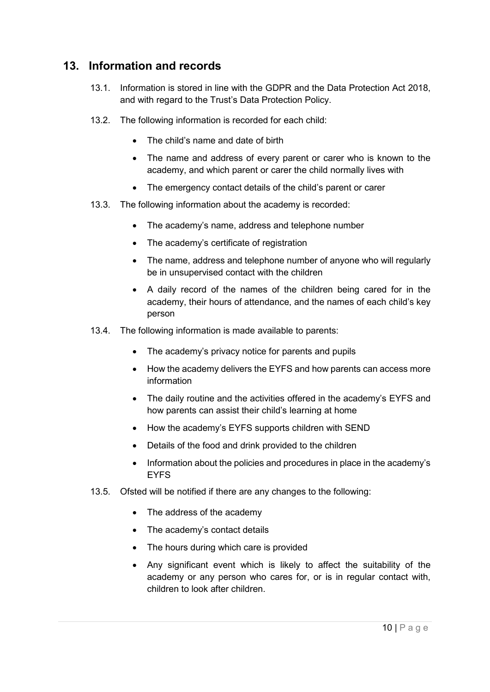## <span id="page-12-0"></span>**13. Information and records**

- 13.1. Information is stored in line with the GDPR and the Data Protection Act 2018, and with regard to the Trust's Data Protection Policy.
- 13.2. The following information is recorded for each child:
	- The child's name and date of birth
	- The name and address of every parent or carer who is known to the academy, and which parent or carer the child normally lives with
	- The emergency contact details of the child's parent or carer
- 13.3. The following information about the academy is recorded:
	- The academy's name, address and telephone number
	- The academy's certificate of registration
	- The name, address and telephone number of anyone who will regularly be in unsupervised contact with the children
	- A daily record of the names of the children being cared for in the academy, their hours of attendance, and the names of each child's key person
- 13.4. The following information is made available to parents:
	- The academy's privacy notice for parents and pupils
	- How the academy delivers the EYFS and how parents can access more information
	- The daily routine and the activities offered in the academy's EYFS and how parents can assist their child's learning at home
	- How the academy's EYFS supports children with SEND
	- Details of the food and drink provided to the children
	- Information about the policies and procedures in place in the academy's EYFS
- 13.5. Ofsted will be notified if there are any changes to the following:
	- The address of the academy
	- The academy's contact details
	- The hours during which care is provided
	- Any significant event which is likely to affect the suitability of the academy or any person who cares for, or is in regular contact with, children to look after children.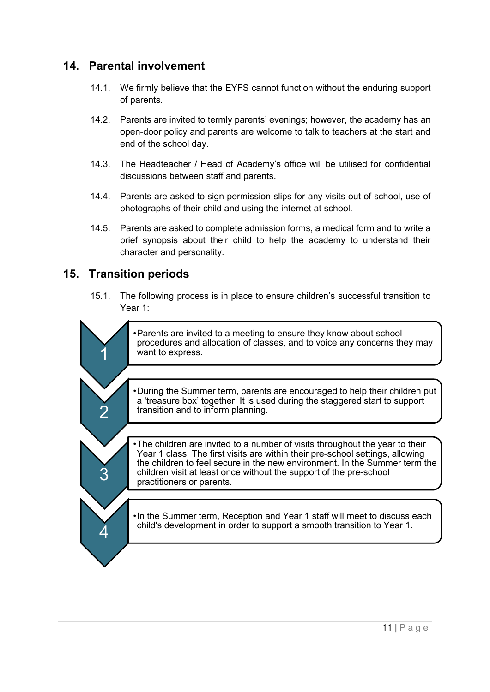## <span id="page-13-0"></span>**14. Parental involvement**

- 14.1. We firmly believe that the EYFS cannot function without the enduring support of parents.
- 14.2. Parents are invited to termly parents' evenings; however, the academy has an open-door policy and parents are welcome to talk to teachers at the start and end of the school day.
- 14.3. The Headteacher / Head of Academy's office will be utilised for confidential discussions between staff and parents.
- 14.4. Parents are asked to sign permission slips for any visits out of school, use of photographs of their child and using the internet at school.
- 14.5. Parents are asked to complete admission forms, a medical form and to write a brief synopsis about their child to help the academy to understand their character and personality.

## <span id="page-13-1"></span>**15. Transition periods**

15.1. The following process is in place to ensure children's successful transition to Year 1: